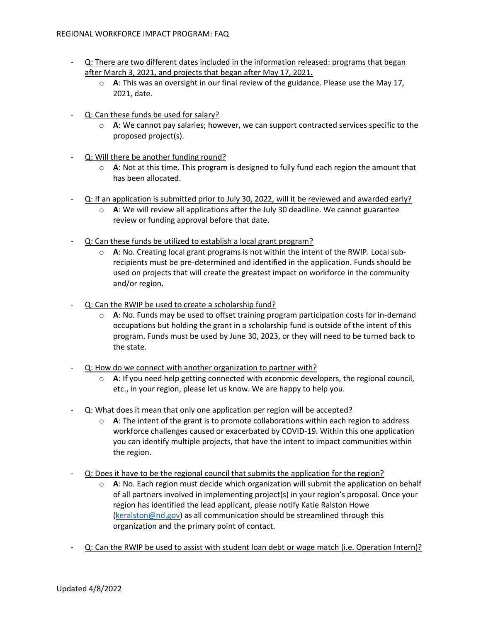- Q: There are two different dates included in the information released: programs that began after March 3, 2021, and projects that began after May 17, 2021.
	- o **A**: This was an oversight in our final review of the guidance. Please use the May 17, 2021, date.
- Q: Can these funds be used for salary?
	- o **A**: We cannot pay salaries; however, we can support contracted services specific to the proposed project(s).
- Q: Will there be another funding round?
	- $\circ$  **A**: Not at this time. This program is designed to fully fund each region the amount that has been allocated.
- Q: If an application is submitted prior to July 30, 2022, will it be reviewed and awarded early?
	- o **A**: We will review all applications after the July 30 deadline. We cannot guarantee review or funding approval before that date.
- Q: Can these funds be utilized to establish a local grant program?
	- o **A**: No. Creating local grant programs is not within the intent of the RWIP. Local subrecipients must be pre-determined and identified in the application. Funds should be used on projects that will create the greatest impact on workforce in the community and/or region.
- Q: Can the RWIP be used to create a scholarship fund?
	- o **A**: No. Funds may be used to offset training program participation costs for in-demand occupations but holding the grant in a scholarship fund is outside of the intent of this program. Funds must be used by June 30, 2023, or they will need to be turned back to the state.
- Q: How do we connect with another organization to partner with?
	- o **A**: If you need help getting connected with economic developers, the regional council, etc., in your region, please let us know. We are happy to help you.
- Q: What does it mean that only one application per region will be accepted?
	- $\circ$  **A**: The intent of the grant is to promote collaborations within each region to address workforce challenges caused or exacerbated by COVID-19. Within this one application you can identify multiple projects, that have the intent to impact communities within the region.
- Q: Does it have to be the regional council that submits the application for the region?
	- o **A**: No. Each region must decide which organization will submit the application on behalf of all partners involved in implementing project(s) in your region's proposal. Once your region has identified the lead applicant, please notify Katie Ralston Howe [\(keralston@nd.gov\)](mailto:keralston@nd.gov) as all communication should be streamlined through this organization and the primary point of contact.
- Q: Can the RWIP be used to assist with student loan debt or wage match (i.e. Operation Intern)?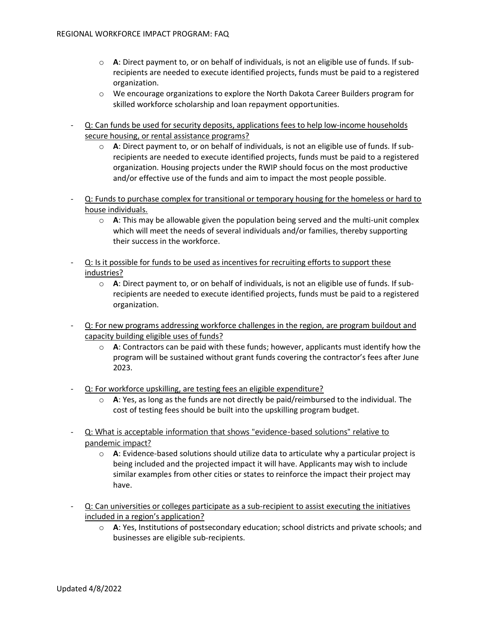- o **A**: Direct payment to, or on behalf of individuals, is not an eligible use of funds. If subrecipients are needed to execute identified projects, funds must be paid to a registered organization.
- o We encourage organizations to explore the North Dakota Career Builders program for skilled workforce scholarship and loan repayment opportunities.
- Q: Can funds be used for security deposits, applications fees to help low-income households secure housing, or rental assistance programs?
	- o **A**: Direct payment to, or on behalf of individuals, is not an eligible use of funds. If subrecipients are needed to execute identified projects, funds must be paid to a registered organization. Housing projects under the RWIP should focus on the most productive and/or effective use of the funds and aim to impact the most people possible.
- Q: Funds to purchase complex for transitional or temporary housing for the homeless or hard to house individuals.
	- $\circ$  **A**: This may be allowable given the population being served and the multi-unit complex which will meet the needs of several individuals and/or families, thereby supporting their success in the workforce.
- Q: Is it possible for funds to be used as incentives for recruiting efforts to support these industries?
	- o **A**: Direct payment to, or on behalf of individuals, is not an eligible use of funds. If subrecipients are needed to execute identified projects, funds must be paid to a registered organization.
- Q: For new programs addressing workforce challenges in the region, are program buildout and capacity building eligible uses of funds?
	- o **A**: Contractors can be paid with these funds; however, applicants must identify how the program will be sustained without grant funds covering the contractor's fees after June 2023.
- Q: For workforce upskilling, are testing fees an eligible expenditure?
	- o **A**: Yes, as long as the funds are not directly be paid/reimbursed to the individual. The cost of testing fees should be built into the upskilling program budget.
- Q: What is acceptable information that shows "evidence-based solutions" relative to pandemic impact?
	- o **A**: Evidence-based solutions should utilize data to articulate why a particular project is being included and the projected impact it will have. Applicants may wish to include similar examples from other cities or states to reinforce the impact their project may have.
- Q: Can universities or colleges participate as a sub-recipient to assist executing the initiatives included in a region's application?
	- o **A**: Yes, Institutions of postsecondary education; school districts and private schools; and businesses are eligible sub-recipients.